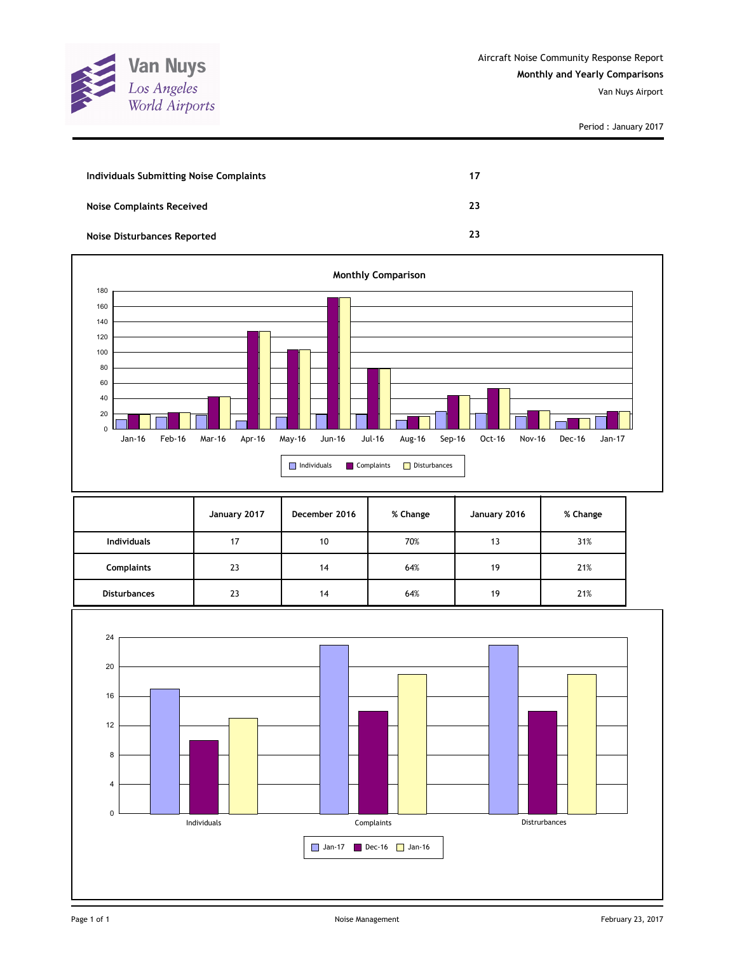

Period : January 2017

| Individuals Submitting Noise Complaints | 17 |
|-----------------------------------------|----|
| <b>Noise Complaints Received</b>        | 23 |
| Noise Disturbances Reported             | 23 |



|                     | January 2017 | December 2016 | % Change | January 2016 | % Change |
|---------------------|--------------|---------------|----------|--------------|----------|
| <b>Individuals</b>  | 17           | 10            | 70%      | 13           | 31%      |
| <b>Complaints</b>   | 23           | 14            | 64%      | 19           | 21%      |
| <b>Disturbances</b> | 23           | 14            | 64%      | 19           | 21%      |

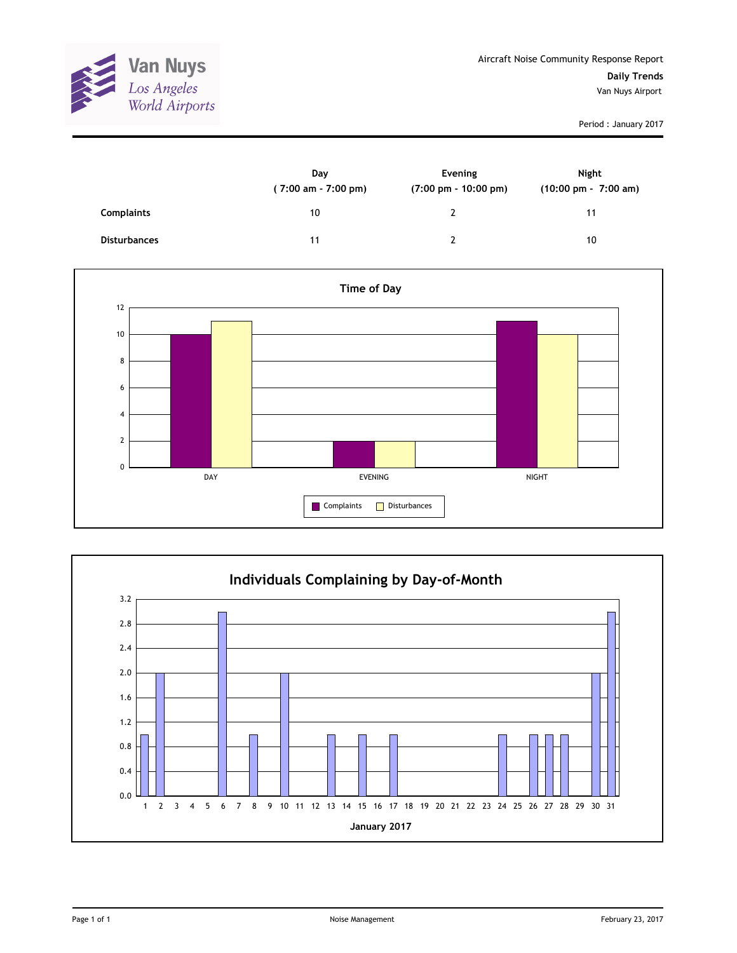

Period : January 2017

|                     | Day<br>(7:00 am - 7:00 pm) | Evening<br>$(7:00 \text{ pm} - 10:00 \text{ pm})$ | Night<br>(10:00 pm - 7:00 am) |
|---------------------|----------------------------|---------------------------------------------------|-------------------------------|
| <b>Complaints</b>   | 10                         | 2                                                 | 11                            |
| <b>Disturbances</b> | 11                         | າ                                                 | 10                            |



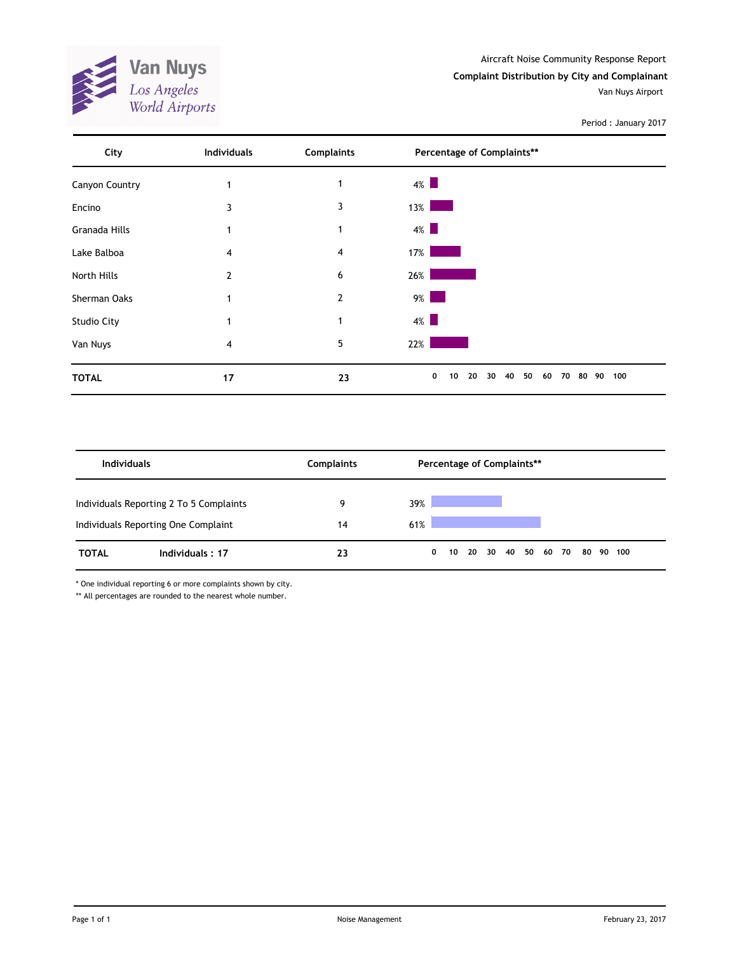**Van Nuys**<br>Los Angeles<br>World Airports

Period : January 2017



| <b>Individuals</b> |                                                                                | <b>Complaints</b> | Percentage of Complaints** |              |  |       |  |  |                |  |  |           |
|--------------------|--------------------------------------------------------------------------------|-------------------|----------------------------|--------------|--|-------|--|--|----------------|--|--|-----------|
|                    | Individuals Reporting 2 To 5 Complaints<br>Individuals Reporting One Complaint | 9<br>14           | 39%<br>61%                 |              |  |       |  |  |                |  |  |           |
| <b>TOTAL</b>       | Individuals: 17                                                                | 23                |                            | $\mathbf{0}$ |  | 10 20 |  |  | 30 40 50 60 70 |  |  | 80 90 100 |

\* One individual reporting 6 or more complaints shown by city.

\*\* All percentages are rounded to the nearest whole number.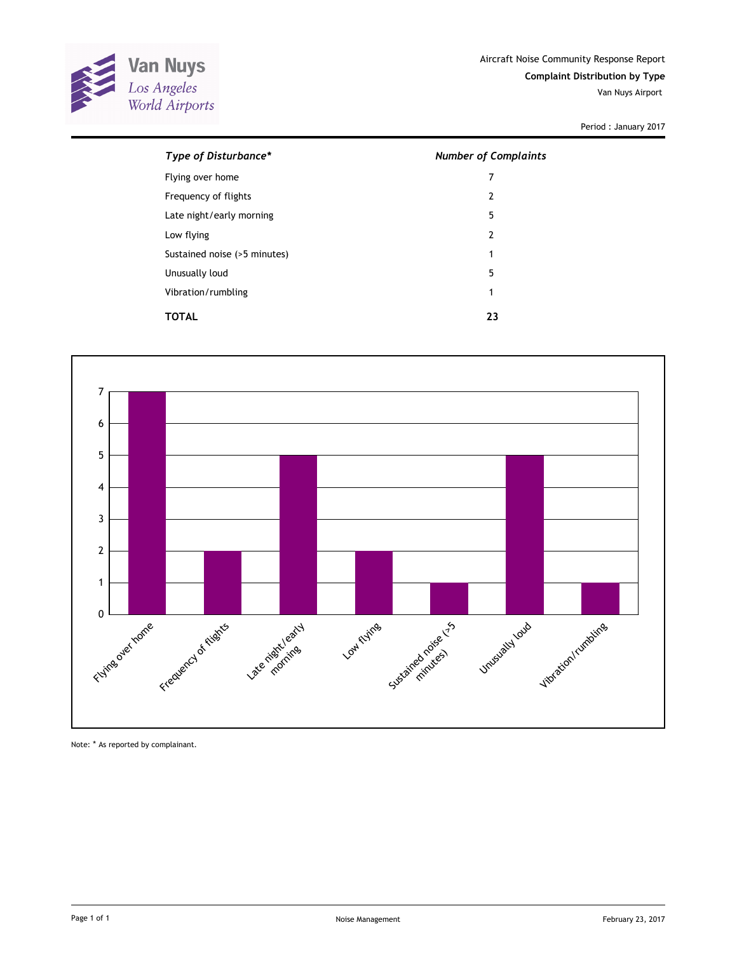

Period : January 2017

| Type of Disturbance*         | <b>Number of Complaints</b> |
|------------------------------|-----------------------------|
| Flying over home             | 7                           |
| Frequency of flights         | $\overline{2}$              |
| Late night/early morning     | 5                           |
| Low flying                   | $\overline{2}$              |
| Sustained noise (>5 minutes) | 1                           |
| Unusually loud               | 5                           |
| Vibration/rumbling           | 1                           |
| TOTAL                        | 23                          |



Note: \* As reported by complainant.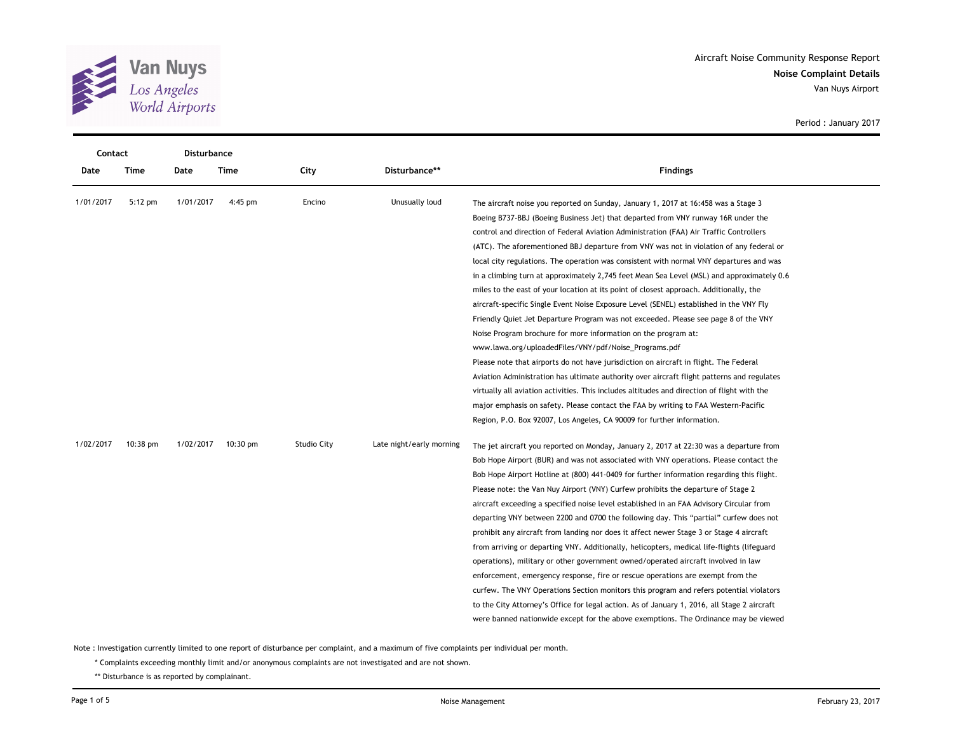

**Noise Complaint Details** Aircraft Noise Community Response Report Van Nuys Airport

| Contact   |           | Disturbance |                    |             |                          |                                                                                             |
|-----------|-----------|-------------|--------------------|-------------|--------------------------|---------------------------------------------------------------------------------------------|
| Date      | Time      | Date        | Time               | City        | Disturbance**            | <b>Findings</b>                                                                             |
| 1/01/2017 | $5:12$ pm | 1/01/2017   | $4:45$ pm          | Encino      | Unusually loud           | The aircraft noise you reported on Sunday, January 1, 2017 at 16:458 was a Stage 3          |
|           |           |             |                    |             |                          | Boeing B737-BBJ (Boeing Business Jet) that departed from VNY runway 16R under the           |
|           |           |             |                    |             |                          | control and direction of Federal Aviation Administration (FAA) Air Traffic Controllers      |
|           |           |             |                    |             |                          | (ATC). The aforementioned BBJ departure from VNY was not in violation of any federal or     |
|           |           |             |                    |             |                          | local city regulations. The operation was consistent with normal VNY departures and was     |
|           |           |             |                    |             |                          | in a climbing turn at approximately 2,745 feet Mean Sea Level (MSL) and approximately 0.6   |
|           |           |             |                    |             |                          | miles to the east of your location at its point of closest approach. Additionally, the      |
|           |           |             |                    |             |                          | aircraft-specific Single Event Noise Exposure Level (SENEL) established in the VNY Fly      |
|           |           |             |                    |             |                          | Friendly Quiet Jet Departure Program was not exceeded. Please see page 8 of the VNY         |
|           |           |             |                    |             |                          | Noise Program brochure for more information on the program at:                              |
|           |           |             |                    |             |                          | www.lawa.org/uploadedFiles/VNY/pdf/Noise_Programs.pdf                                       |
|           |           |             |                    |             |                          | Please note that airports do not have jurisdiction on aircraft in flight. The Federal       |
|           |           |             |                    |             |                          | Aviation Administration has ultimate authority over aircraft flight patterns and regulates  |
|           |           |             |                    |             |                          | virtually all aviation activities. This includes altitudes and direction of flight with the |
|           |           |             |                    |             |                          | major emphasis on safety. Please contact the FAA by writing to FAA Western-Pacific          |
|           |           |             |                    |             |                          | Region, P.O. Box 92007, Los Angeles, CA 90009 for further information.                      |
| 1/02/2017 | 10:38 pm  | 1/02/2017   | $10:30 \text{ pm}$ | Studio City | Late night/early morning | The jet aircraft you reported on Monday, January 2, 2017 at 22:30 was a departure from      |
|           |           |             |                    |             |                          | Bob Hope Airport (BUR) and was not associated with VNY operations. Please contact the       |
|           |           |             |                    |             |                          | Bob Hope Airport Hotline at (800) 441-0409 for further information regarding this flight.   |
|           |           |             |                    |             |                          | Please note: the Van Nuy Airport (VNY) Curfew prohibits the departure of Stage 2            |
|           |           |             |                    |             |                          | aircraft exceeding a specified noise level established in an FAA Advisory Circular from     |
|           |           |             |                    |             |                          | departing VNY between 2200 and 0700 the following day. This "partial" curfew does not       |
|           |           |             |                    |             |                          | prohibit any aircraft from landing nor does it affect newer Stage 3 or Stage 4 aircraft     |
|           |           |             |                    |             |                          | from arriving or departing VNY. Additionally, helicopters, medical life-flights (lifeguard  |
|           |           |             |                    |             |                          | operations), military or other government owned/operated aircraft involved in law           |
|           |           |             |                    |             |                          | enforcement, emergency response, fire or rescue operations are exempt from the              |
|           |           |             |                    |             |                          | curfew. The VNY Operations Section monitors this program and refers potential violators     |
|           |           |             |                    |             |                          | to the City Attorney's Office for legal action. As of January 1, 2016, all Stage 2 aircraft |
|           |           |             |                    |             |                          | were banned nationwide except for the above exemptions. The Ordinance may be viewed         |

Period : January 2017

Note : Investigation currently limited to one report of disturbance per complaint, and a maximum of five complaints per individual per month.

\* Complaints exceeding monthly limit and/or anonymous complaints are not investigated and are not shown.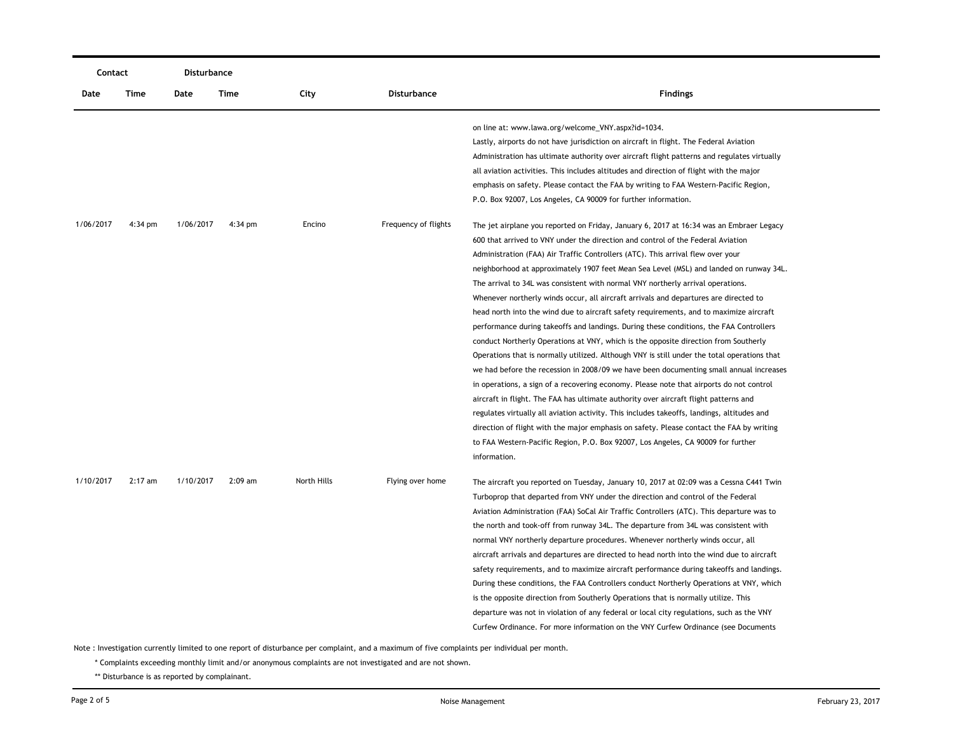| Contact   |           |           | Disturbance |             |                      |                                                                                             |
|-----------|-----------|-----------|-------------|-------------|----------------------|---------------------------------------------------------------------------------------------|
| Date      | Time      | Date      | Time        | City        | <b>Disturbance</b>   | <b>Findings</b>                                                                             |
|           |           |           |             |             |                      | on line at: www.lawa.org/welcome_VNY.aspx?id=1034.                                          |
|           |           |           |             |             |                      | Lastly, airports do not have jurisdiction on aircraft in flight. The Federal Aviation       |
|           |           |           |             |             |                      | Administration has ultimate authority over aircraft flight patterns and regulates virtually |
|           |           |           |             |             |                      | all aviation activities. This includes altitudes and direction of flight with the major     |
|           |           |           |             |             |                      | emphasis on safety. Please contact the FAA by writing to FAA Western-Pacific Region,        |
|           |           |           |             |             |                      | P.O. Box 92007, Los Angeles, CA 90009 for further information.                              |
| 1/06/2017 | 4:34 pm   | 1/06/2017 | 4:34 pm     | Encino      | Frequency of flights | The jet airplane you reported on Friday, January 6, 2017 at 16:34 was an Embraer Legacy     |
|           |           |           |             |             |                      | 600 that arrived to VNY under the direction and control of the Federal Aviation             |
|           |           |           |             |             |                      | Administration (FAA) Air Traffic Controllers (ATC). This arrival flew over your             |
|           |           |           |             |             |                      | neighborhood at approximately 1907 feet Mean Sea Level (MSL) and landed on runway 34L.      |
|           |           |           |             |             |                      | The arrival to 34L was consistent with normal VNY northerly arrival operations.             |
|           |           |           |             |             |                      | Whenever northerly winds occur, all aircraft arrivals and departures are directed to        |
|           |           |           |             |             |                      | head north into the wind due to aircraft safety requirements, and to maximize aircraft      |
|           |           |           |             |             |                      | performance during takeoffs and landings. During these conditions, the FAA Controllers      |
|           |           |           |             |             |                      | conduct Northerly Operations at VNY, which is the opposite direction from Southerly         |
|           |           |           |             |             |                      | Operations that is normally utilized. Although VNY is still under the total operations that |
|           |           |           |             |             |                      | we had before the recession in 2008/09 we have been documenting small annual increases      |
|           |           |           |             |             |                      | in operations, a sign of a recovering economy. Please note that airports do not control     |
|           |           |           |             |             |                      | aircraft in flight. The FAA has ultimate authority over aircraft flight patterns and        |
|           |           |           |             |             |                      | regulates virtually all aviation activity. This includes takeoffs, landings, altitudes and  |
|           |           |           |             |             |                      | direction of flight with the major emphasis on safety. Please contact the FAA by writing    |
|           |           |           |             |             |                      | to FAA Western-Pacific Region, P.O. Box 92007, Los Angeles, CA 90009 for further            |
|           |           |           |             |             |                      | information.                                                                                |
| 1/10/2017 | $2:17$ am | 1/10/2017 | $2:09$ am   | North Hills | Flying over home     | The aircraft you reported on Tuesday, January 10, 2017 at 02:09 was a Cessna C441 Twin      |
|           |           |           |             |             |                      | Turboprop that departed from VNY under the direction and control of the Federal             |
|           |           |           |             |             |                      | Aviation Administration (FAA) SoCal Air Traffic Controllers (ATC). This departure was to    |
|           |           |           |             |             |                      | the north and took-off from runway 34L. The departure from 34L was consistent with          |
|           |           |           |             |             |                      | normal VNY northerly departure procedures. Whenever northerly winds occur, all              |
|           |           |           |             |             |                      | aircraft arrivals and departures are directed to head north into the wind due to aircraft   |
|           |           |           |             |             |                      | safety requirements, and to maximize aircraft performance during takeoffs and landings.     |
|           |           |           |             |             |                      | During these conditions, the FAA Controllers conduct Northerly Operations at VNY, which     |
|           |           |           |             |             |                      | is the opposite direction from Southerly Operations that is normally utilize. This          |
|           |           |           |             |             |                      | departure was not in violation of any federal or local city regulations, such as the VNY    |
|           |           |           |             |             |                      | Curfew Ordinance. For more information on the VNY Curfew Ordinance (see Documents           |
|           |           |           |             |             |                      |                                                                                             |

\* Complaints exceeding monthly limit and/or anonymous complaints are not investigated and are not shown.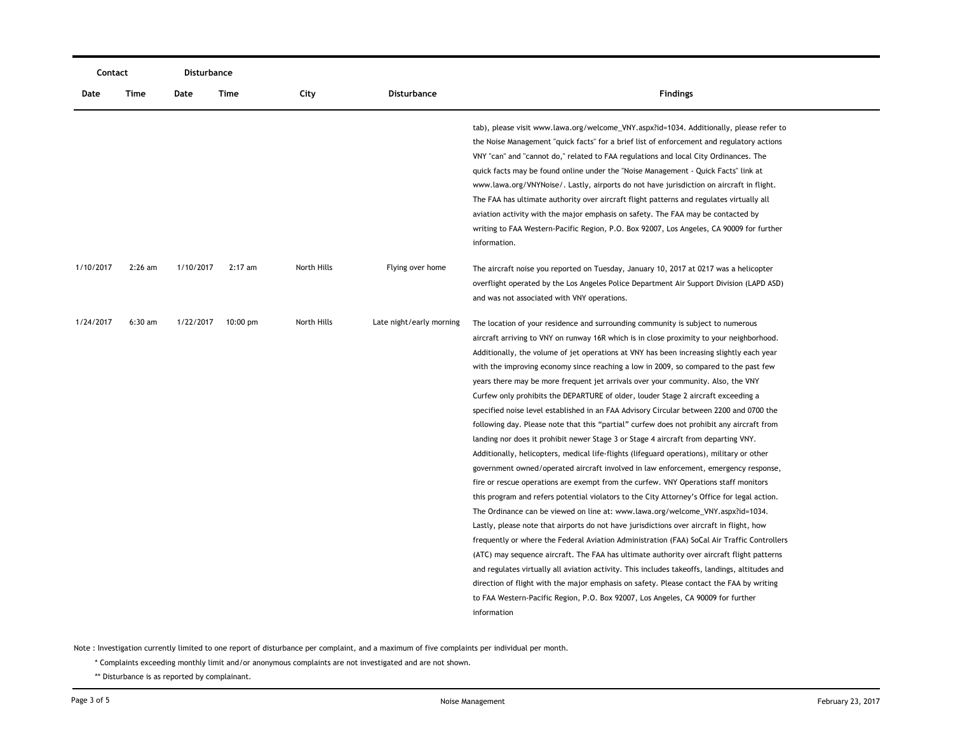| Contact   |           | Disturbance |            |             |                          |                                                                                                                                                                                                                                                                                                                                                                                                                                                                                                                                                                                                                                                                                                                                                                                                                                                                                                                                                                                                                                                                                                                                                                                                                                                                                                                                                                                                                                                                                                                                                                                                                                                                                                                                                                                                                                                                             |  |  |
|-----------|-----------|-------------|------------|-------------|--------------------------|-----------------------------------------------------------------------------------------------------------------------------------------------------------------------------------------------------------------------------------------------------------------------------------------------------------------------------------------------------------------------------------------------------------------------------------------------------------------------------------------------------------------------------------------------------------------------------------------------------------------------------------------------------------------------------------------------------------------------------------------------------------------------------------------------------------------------------------------------------------------------------------------------------------------------------------------------------------------------------------------------------------------------------------------------------------------------------------------------------------------------------------------------------------------------------------------------------------------------------------------------------------------------------------------------------------------------------------------------------------------------------------------------------------------------------------------------------------------------------------------------------------------------------------------------------------------------------------------------------------------------------------------------------------------------------------------------------------------------------------------------------------------------------------------------------------------------------------------------------------------------------|--|--|
| Date      | Time      | Date        | Time       | City        | Disturbance              | <b>Findings</b>                                                                                                                                                                                                                                                                                                                                                                                                                                                                                                                                                                                                                                                                                                                                                                                                                                                                                                                                                                                                                                                                                                                                                                                                                                                                                                                                                                                                                                                                                                                                                                                                                                                                                                                                                                                                                                                             |  |  |
|           |           |             |            |             |                          | tab), please visit www.lawa.org/welcome_VNY.aspx?id=1034. Additionally, please refer to<br>the Noise Management "quick facts" for a brief list of enforcement and regulatory actions<br>VNY "can" and "cannot do," related to FAA regulations and local City Ordinances. The<br>quick facts may be found online under the "Noise Management - Quick Facts" link at<br>www.lawa.org/VNYNoise/. Lastly, airports do not have jurisdiction on aircraft in flight.<br>The FAA has ultimate authority over aircraft flight patterns and regulates virtually all<br>aviation activity with the major emphasis on safety. The FAA may be contacted by<br>writing to FAA Western-Pacific Region, P.O. Box 92007, Los Angeles, CA 90009 for further<br>information.                                                                                                                                                                                                                                                                                                                                                                                                                                                                                                                                                                                                                                                                                                                                                                                                                                                                                                                                                                                                                                                                                                                  |  |  |
| 1/10/2017 | $2:26$ am | 1/10/2017   | $2:17$ am  | North Hills | Flying over home         | The aircraft noise you reported on Tuesday, January 10, 2017 at 0217 was a helicopter<br>overflight operated by the Los Angeles Police Department Air Support Division (LAPD ASD)<br>and was not associated with VNY operations.                                                                                                                                                                                                                                                                                                                                                                                                                                                                                                                                                                                                                                                                                                                                                                                                                                                                                                                                                                                                                                                                                                                                                                                                                                                                                                                                                                                                                                                                                                                                                                                                                                            |  |  |
| 1/24/2017 | $6:30$ am | 1/22/2017   | $10:00$ pm | North Hills | Late night/early morning | The location of your residence and surrounding community is subject to numerous<br>aircraft arriving to VNY on runway 16R which is in close proximity to your neighborhood.<br>Additionally, the volume of jet operations at VNY has been increasing slightly each year<br>with the improving economy since reaching a low in 2009, so compared to the past few<br>years there may be more frequent jet arrivals over your community. Also, the VNY<br>Curfew only prohibits the DEPARTURE of older, louder Stage 2 aircraft exceeding a<br>specified noise level established in an FAA Advisory Circular between 2200 and 0700 the<br>following day. Please note that this "partial" curfew does not prohibit any aircraft from<br>landing nor does it prohibit newer Stage 3 or Stage 4 aircraft from departing VNY.<br>Additionally, helicopters, medical life-flights (lifeguard operations), military or other<br>government owned/operated aircraft involved in law enforcement, emergency response,<br>fire or rescue operations are exempt from the curfew. VNY Operations staff monitors<br>this program and refers potential violators to the City Attorney's Office for legal action.<br>The Ordinance can be viewed on line at: www.lawa.org/welcome_VNY.aspx?id=1034.<br>Lastly, please note that airports do not have jurisdictions over aircraft in flight, how<br>frequently or where the Federal Aviation Administration (FAA) SoCal Air Traffic Controllers<br>(ATC) may sequence aircraft. The FAA has ultimate authority over aircraft flight patterns<br>and regulates virtually all aviation activity. This includes takeoffs, landings, altitudes and<br>direction of flight with the major emphasis on safety. Please contact the FAA by writing<br>to FAA Western-Pacific Region, P.O. Box 92007, Los Angeles, CA 90009 for further<br>information |  |  |

\* Complaints exceeding monthly limit and/or anonymous complaints are not investigated and are not shown.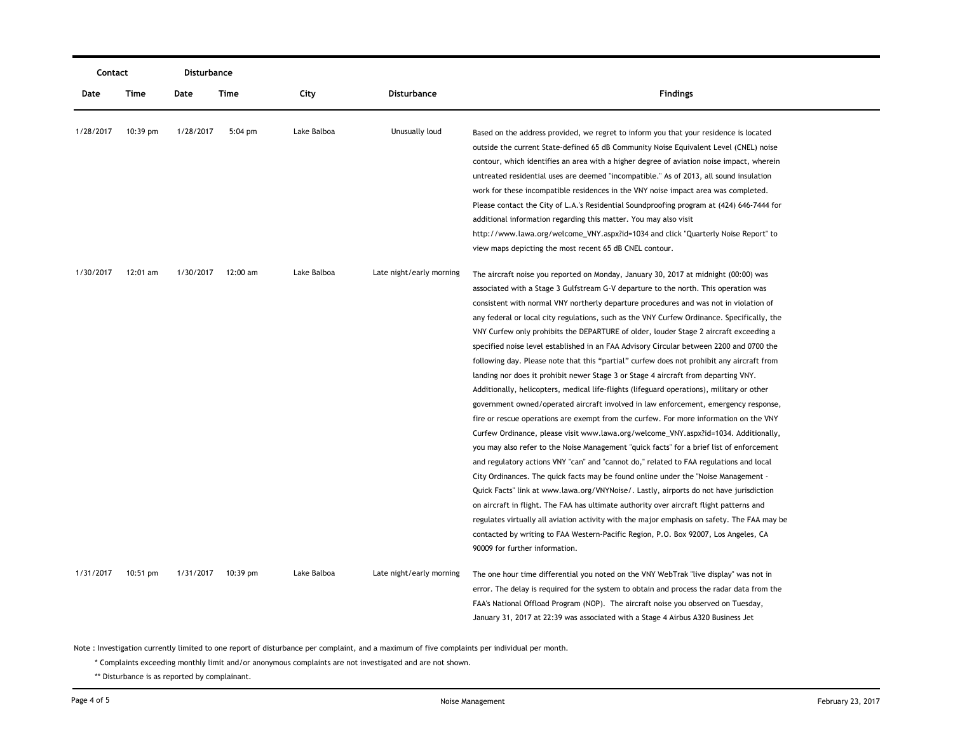| Contact   |            | Disturbance |                   |             |                          |                                                                                                                                                                                                                                                                                                                                                                                                                                                                                                                                                                                                                                                                                                                                                                                                                                                                                                                                                                                                                                                                                                                                                                                                                                                                                                                                                                                                                                                                                                                                                                                                                                                                                                                                                                                                       |
|-----------|------------|-------------|-------------------|-------------|--------------------------|-------------------------------------------------------------------------------------------------------------------------------------------------------------------------------------------------------------------------------------------------------------------------------------------------------------------------------------------------------------------------------------------------------------------------------------------------------------------------------------------------------------------------------------------------------------------------------------------------------------------------------------------------------------------------------------------------------------------------------------------------------------------------------------------------------------------------------------------------------------------------------------------------------------------------------------------------------------------------------------------------------------------------------------------------------------------------------------------------------------------------------------------------------------------------------------------------------------------------------------------------------------------------------------------------------------------------------------------------------------------------------------------------------------------------------------------------------------------------------------------------------------------------------------------------------------------------------------------------------------------------------------------------------------------------------------------------------------------------------------------------------------------------------------------------------|
| Date      | Time       | Date        | Time              | City        | Disturbance              | <b>Findings</b>                                                                                                                                                                                                                                                                                                                                                                                                                                                                                                                                                                                                                                                                                                                                                                                                                                                                                                                                                                                                                                                                                                                                                                                                                                                                                                                                                                                                                                                                                                                                                                                                                                                                                                                                                                                       |
| 1/28/2017 | 10:39 pm   | 1/28/2017   | $5:04 \text{ pm}$ | Lake Balboa | Unusually loud           | Based on the address provided, we regret to inform you that your residence is located<br>outside the current State-defined 65 dB Community Noise Equivalent Level (CNEL) noise<br>contour, which identifies an area with a higher degree of aviation noise impact, wherein<br>untreated residential uses are deemed "incompatible." As of 2013, all sound insulation<br>work for these incompatible residences in the VNY noise impact area was completed.<br>Please contact the City of L.A.'s Residential Soundproofing program at (424) 646-7444 for<br>additional information regarding this matter. You may also visit<br>http://www.lawa.org/welcome_VNY.aspx?id=1034 and click "Quarterly Noise Report" to<br>view maps depicting the most recent 65 dB CNEL contour.                                                                                                                                                                                                                                                                                                                                                                                                                                                                                                                                                                                                                                                                                                                                                                                                                                                                                                                                                                                                                          |
| 1/30/2017 | 12:01 am   | 1/30/2017   | 12:00 am          | Lake Balboa | Late night/early morning | The aircraft noise you reported on Monday, January 30, 2017 at midnight (00:00) was<br>associated with a Stage 3 Gulfstream G-V departure to the north. This operation was<br>consistent with normal VNY northerly departure procedures and was not in violation of<br>any federal or local city regulations, such as the VNY Curfew Ordinance. Specifically, the<br>VNY Curfew only prohibits the DEPARTURE of older, louder Stage 2 aircraft exceeding a<br>specified noise level established in an FAA Advisory Circular between 2200 and 0700 the<br>following day. Please note that this "partial" curfew does not prohibit any aircraft from<br>landing nor does it prohibit newer Stage 3 or Stage 4 aircraft from departing VNY.<br>Additionally, helicopters, medical life-flights (lifeguard operations), military or other<br>government owned/operated aircraft involved in law enforcement, emergency response,<br>fire or rescue operations are exempt from the curfew. For more information on the VNY<br>Curfew Ordinance, please visit www.lawa.org/welcome_VNY.aspx?id=1034. Additionally,<br>you may also refer to the Noise Management "quick facts" for a brief list of enforcement<br>and regulatory actions VNY "can" and "cannot do," related to FAA regulations and local<br>City Ordinances. The quick facts may be found online under the "Noise Management -<br>Quick Facts" link at www.lawa.org/VNYNoise/. Lastly, airports do not have jurisdiction<br>on aircraft in flight. The FAA has ultimate authority over aircraft flight patterns and<br>regulates virtually all aviation activity with the major emphasis on safety. The FAA may be<br>contacted by writing to FAA Western-Pacific Region, P.O. Box 92007, Los Angeles, CA<br>90009 for further information. |
| 1/31/2017 | $10:51$ pm | 1/31/2017   | 10:39 pm          | Lake Balboa | Late night/early morning | The one hour time differential you noted on the VNY WebTrak "live display" was not in<br>error. The delay is required for the system to obtain and process the radar data from the<br>FAA's National Offload Program (NOP). The aircraft noise you observed on Tuesday,<br>January 31, 2017 at 22:39 was associated with a Stage 4 Airbus A320 Business Jet                                                                                                                                                                                                                                                                                                                                                                                                                                                                                                                                                                                                                                                                                                                                                                                                                                                                                                                                                                                                                                                                                                                                                                                                                                                                                                                                                                                                                                           |

\* Complaints exceeding monthly limit and/or anonymous complaints are not investigated and are not shown.